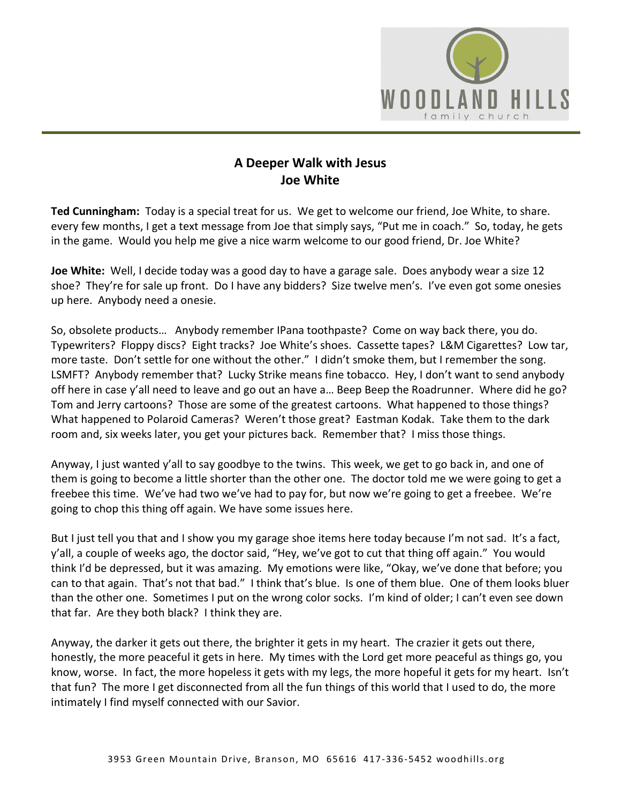

## **A Deeper Walk with Jesus Joe White**

**Ted Cunningham:** Today is a special treat for us. We get to welcome our friend, Joe White, to share. every few months, I get a text message from Joe that simply says, "Put me in coach." So, today, he gets in the game. Would you help me give a nice warm welcome to our good friend, Dr. Joe White?

**Joe White:** Well, I decide today was a good day to have a garage sale. Does anybody wear a size 12 shoe? They're for sale up front. Do I have any bidders? Size twelve men's. I've even got some onesies up here. Anybody need a onesie.

So, obsolete products… Anybody remember IPana toothpaste? Come on way back there, you do. Typewriters? Floppy discs? Eight tracks? Joe White's shoes. Cassette tapes? L&M Cigarettes? Low tar, more taste. Don't settle for one without the other." I didn't smoke them, but I remember the song. LSMFT? Anybody remember that? Lucky Strike means fine tobacco. Hey, I don't want to send anybody off here in case y'all need to leave and go out an have a… Beep Beep the Roadrunner. Where did he go? Tom and Jerry cartoons? Those are some of the greatest cartoons. What happened to those things? What happened to Polaroid Cameras? Weren't those great? Eastman Kodak. Take them to the dark room and, six weeks later, you get your pictures back. Remember that? I miss those things.

Anyway, I just wanted y'all to say goodbye to the twins. This week, we get to go back in, and one of them is going to become a little shorter than the other one. The doctor told me we were going to get a freebee this time. We've had two we've had to pay for, but now we're going to get a freebee. We're going to chop this thing off again. We have some issues here.

But I just tell you that and I show you my garage shoe items here today because I'm not sad. It's a fact, y'all, a couple of weeks ago, the doctor said, "Hey, we've got to cut that thing off again." You would think I'd be depressed, but it was amazing. My emotions were like, "Okay, we've done that before; you can to that again. That's not that bad." I think that's blue. Is one of them blue. One of them looks bluer than the other one. Sometimes I put on the wrong color socks. I'm kind of older; I can't even see down that far. Are they both black? I think they are.

Anyway, the darker it gets out there, the brighter it gets in my heart. The crazier it gets out there, honestly, the more peaceful it gets in here. My times with the Lord get more peaceful as things go, you know, worse. In fact, the more hopeless it gets with my legs, the more hopeful it gets for my heart. Isn't that fun? The more I get disconnected from all the fun things of this world that I used to do, the more intimately I find myself connected with our Savior.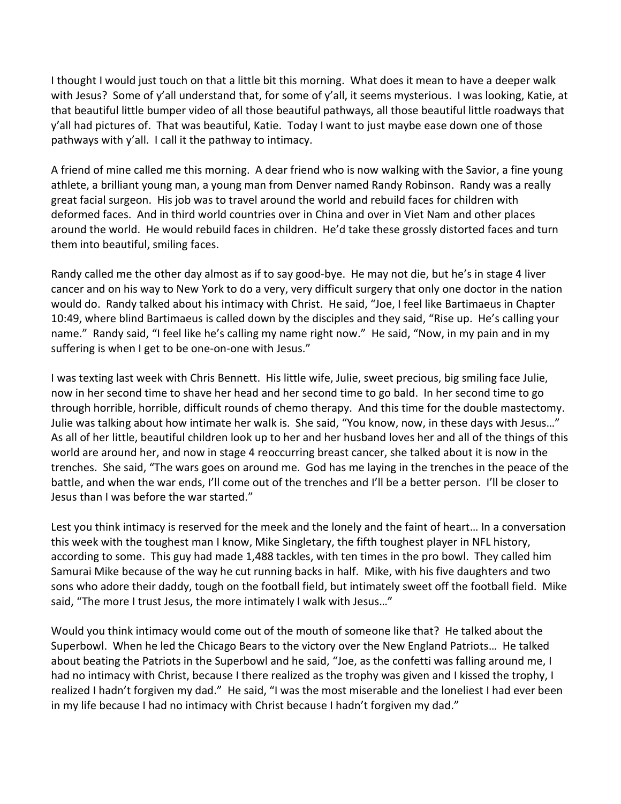I thought I would just touch on that a little bit this morning. What does it mean to have a deeper walk with Jesus? Some of y'all understand that, for some of y'all, it seems mysterious. I was looking, Katie, at that beautiful little bumper video of all those beautiful pathways, all those beautiful little roadways that y'all had pictures of. That was beautiful, Katie. Today I want to just maybe ease down one of those pathways with y'all. I call it the pathway to intimacy.

A friend of mine called me this morning. A dear friend who is now walking with the Savior, a fine young athlete, a brilliant young man, a young man from Denver named Randy Robinson. Randy was a really great facial surgeon. His job was to travel around the world and rebuild faces for children with deformed faces. And in third world countries over in China and over in Viet Nam and other places around the world. He would rebuild faces in children. He'd take these grossly distorted faces and turn them into beautiful, smiling faces.

Randy called me the other day almost as if to say good-bye. He may not die, but he's in stage 4 liver cancer and on his way to New York to do a very, very difficult surgery that only one doctor in the nation would do. Randy talked about his intimacy with Christ. He said, "Joe, I feel like Bartimaeus in Chapter 10:49, where blind Bartimaeus is called down by the disciples and they said, "Rise up. He's calling your name." Randy said, "I feel like he's calling my name right now." He said, "Now, in my pain and in my suffering is when I get to be one-on-one with Jesus."

I was texting last week with Chris Bennett. His little wife, Julie, sweet precious, big smiling face Julie, now in her second time to shave her head and her second time to go bald. In her second time to go through horrible, horrible, difficult rounds of chemo therapy. And this time for the double mastectomy. Julie was talking about how intimate her walk is. She said, "You know, now, in these days with Jesus…" As all of her little, beautiful children look up to her and her husband loves her and all of the things of this world are around her, and now in stage 4 reoccurring breast cancer, she talked about it is now in the trenches. She said, "The wars goes on around me. God has me laying in the trenches in the peace of the battle, and when the war ends, I'll come out of the trenches and I'll be a better person. I'll be closer to Jesus than I was before the war started."

Lest you think intimacy is reserved for the meek and the lonely and the faint of heart… In a conversation this week with the toughest man I know, Mike Singletary, the fifth toughest player in NFL history, according to some. This guy had made 1,488 tackles, with ten times in the pro bowl. They called him Samurai Mike because of the way he cut running backs in half. Mike, with his five daughters and two sons who adore their daddy, tough on the football field, but intimately sweet off the football field. Mike said, "The more I trust Jesus, the more intimately I walk with Jesus…"

Would you think intimacy would come out of the mouth of someone like that? He talked about the Superbowl. When he led the Chicago Bears to the victory over the New England Patriots… He talked about beating the Patriots in the Superbowl and he said, "Joe, as the confetti was falling around me, I had no intimacy with Christ, because I there realized as the trophy was given and I kissed the trophy, I realized I hadn't forgiven my dad." He said, "I was the most miserable and the loneliest I had ever been in my life because I had no intimacy with Christ because I hadn't forgiven my dad."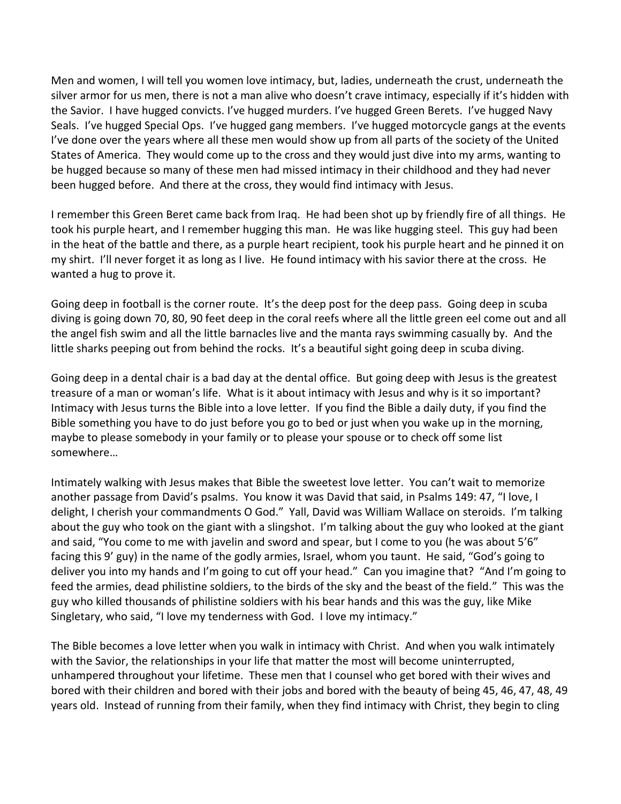Men and women, I will tell you women love intimacy, but, ladies, underneath the crust, underneath the silver armor for us men, there is not a man alive who doesn't crave intimacy, especially if it's hidden with the Savior. I have hugged convicts. I've hugged murders. I've hugged Green Berets. I've hugged Navy Seals. I've hugged Special Ops. I've hugged gang members. I've hugged motorcycle gangs at the events I've done over the years where all these men would show up from all parts of the society of the United States of America. They would come up to the cross and they would just dive into my arms, wanting to be hugged because so many of these men had missed intimacy in their childhood and they had never been hugged before. And there at the cross, they would find intimacy with Jesus.

I remember this Green Beret came back from Iraq. He had been shot up by friendly fire of all things. He took his purple heart, and I remember hugging this man. He was like hugging steel. This guy had been in the heat of the battle and there, as a purple heart recipient, took his purple heart and he pinned it on my shirt. I'll never forget it as long as I live. He found intimacy with his savior there at the cross. He wanted a hug to prove it.

Going deep in football is the corner route. It's the deep post for the deep pass. Going deep in scuba diving is going down 70, 80, 90 feet deep in the coral reefs where all the little green eel come out and all the angel fish swim and all the little barnacles live and the manta rays swimming casually by. And the little sharks peeping out from behind the rocks. It's a beautiful sight going deep in scuba diving.

Going deep in a dental chair is a bad day at the dental office. But going deep with Jesus is the greatest treasure of a man or woman's life. What is it about intimacy with Jesus and why is it so important? Intimacy with Jesus turns the Bible into a love letter. If you find the Bible a daily duty, if you find the Bible something you have to do just before you go to bed or just when you wake up in the morning, maybe to please somebody in your family or to please your spouse or to check off some list somewhere…

Intimately walking with Jesus makes that Bible the sweetest love letter. You can't wait to memorize another passage from David's psalms. You know it was David that said, in Psalms 149: 47, "I love, I delight, I cherish your commandments O God." Yall, David was William Wallace on steroids. I'm talking about the guy who took on the giant with a slingshot. I'm talking about the guy who looked at the giant and said, "You come to me with javelin and sword and spear, but I come to you (he was about 5'6" facing this 9' guy) in the name of the godly armies, Israel, whom you taunt. He said, "God's going to deliver you into my hands and I'm going to cut off your head." Can you imagine that? "And I'm going to feed the armies, dead philistine soldiers, to the birds of the sky and the beast of the field." This was the guy who killed thousands of philistine soldiers with his bear hands and this was the guy, like Mike Singletary, who said, "I love my tenderness with God. I love my intimacy."

The Bible becomes a love letter when you walk in intimacy with Christ. And when you walk intimately with the Savior, the relationships in your life that matter the most will become uninterrupted, unhampered throughout your lifetime. These men that I counsel who get bored with their wives and bored with their children and bored with their jobs and bored with the beauty of being 45, 46, 47, 48, 49 years old. Instead of running from their family, when they find intimacy with Christ, they begin to cling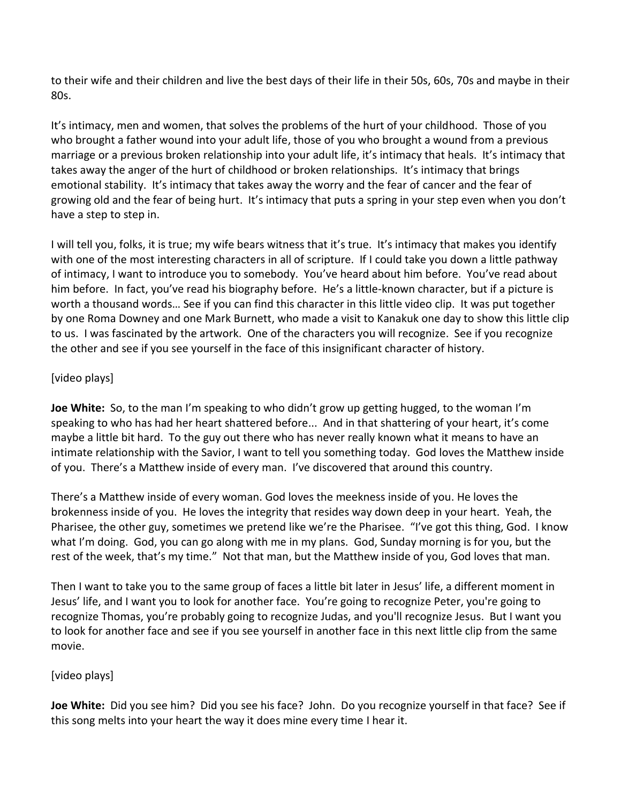to their wife and their children and live the best days of their life in their 50s, 60s, 70s and maybe in their 80s.

It's intimacy, men and women, that solves the problems of the hurt of your childhood. Those of you who brought a father wound into your adult life, those of you who brought a wound from a previous marriage or a previous broken relationship into your adult life, it's intimacy that heals. It's intimacy that takes away the anger of the hurt of childhood or broken relationships. It's intimacy that brings emotional stability. It's intimacy that takes away the worry and the fear of cancer and the fear of growing old and the fear of being hurt. It's intimacy that puts a spring in your step even when you don't have a step to step in.

I will tell you, folks, it is true; my wife bears witness that it's true. It's intimacy that makes you identify with one of the most interesting characters in all of scripture. If I could take you down a little pathway of intimacy, I want to introduce you to somebody. You've heard about him before. You've read about him before. In fact, you've read his biography before. He's a little-known character, but if a picture is worth a thousand words… See if you can find this character in this little video clip. It was put together by one Roma Downey and one Mark Burnett, who made a visit to Kanakuk one day to show this little clip to us. I was fascinated by the artwork. One of the characters you will recognize. See if you recognize the other and see if you see yourself in the face of this insignificant character of history.

## [video plays]

**Joe White:** So, to the man I'm speaking to who didn't grow up getting hugged, to the woman I'm speaking to who has had her heart shattered before... And in that shattering of your heart, it's come maybe a little bit hard. To the guy out there who has never really known what it means to have an intimate relationship with the Savior, I want to tell you something today. God loves the Matthew inside of you. There's a Matthew inside of every man. I've discovered that around this country.

There's a Matthew inside of every woman. God loves the meekness inside of you. He loves the brokenness inside of you. He loves the integrity that resides way down deep in your heart. Yeah, the Pharisee, the other guy, sometimes we pretend like we're the Pharisee. "I've got this thing, God. I know what I'm doing. God, you can go along with me in my plans. God, Sunday morning is for you, but the rest of the week, that's my time." Not that man, but the Matthew inside of you, God loves that man.

Then I want to take you to the same group of faces a little bit later in Jesus' life, a different moment in Jesus' life, and I want you to look for another face. You're going to recognize Peter, you're going to recognize Thomas, you're probably going to recognize Judas, and you'll recognize Jesus. But I want you to look for another face and see if you see yourself in another face in this next little clip from the same movie.

## [video plays]

**Joe White:** Did you see him? Did you see his face? John. Do you recognize yourself in that face? See if this song melts into your heart the way it does mine every time I hear it.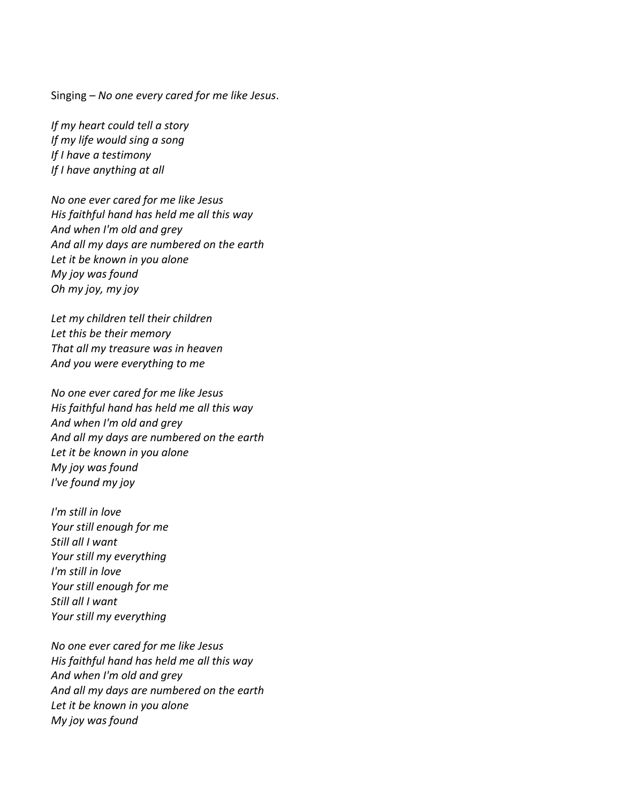Singing – *No one every cared for me like Jesus*.

*If my heart could tell a story If my life would sing a song If I have a testimony If I have anything at all*

*No one ever cared for me like Jesus His faithful hand has held me all this way And when I'm old and grey And all my days are numbered on the earth Let it be known in you alone My joy was found Oh my joy, my joy*

*Let my children tell their children Let this be their memory That all my treasure was in heaven And you were everything to me*

*No one ever cared for me like Jesus His faithful hand has held me all this way And when I'm old and grey And all my days are numbered on the earth Let it be known in you alone My joy was found I've found my joy*

*I'm still in love Your still enough for me Still all I want Your still my everything I'm still in love Your still enough for me Still all I want Your still my everything*

*No one ever cared for me like Jesus His faithful hand has held me all this way And when I'm old and grey And all my days are numbered on the earth Let it be known in you alone My joy was found*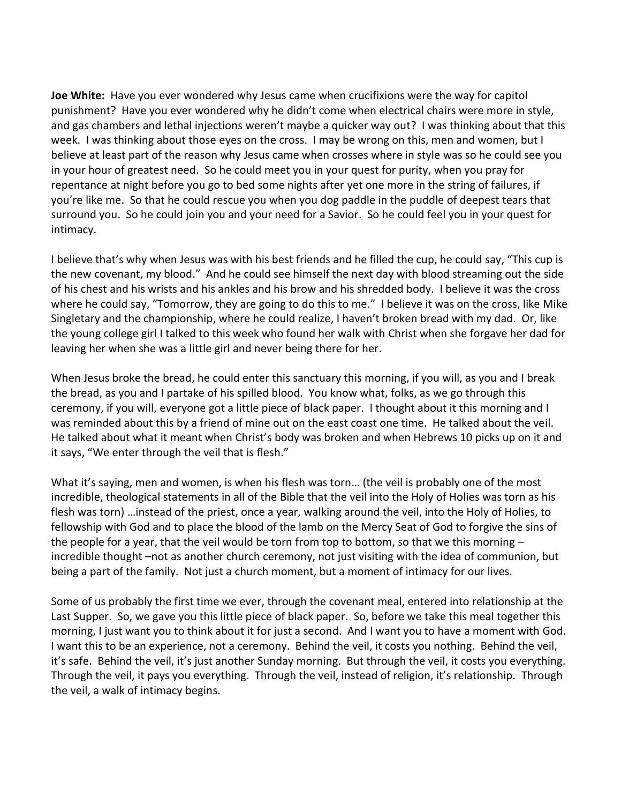**Joe White:** Have you ever wondered why Jesus came when crucifixions were the way for capitol punishment? Have you ever wondered why he didn't come when electrical chairs were more in style, and gas chambers and lethal injections weren't maybe a quicker way out? I was thinking about that this week. I was thinking about those eyes on the cross. I may be wrong on this, men and women, but I believe at least part of the reason why Jesus came when crosses where in style was so he could see you in your hour of greatest need. So he could meet you in your quest for purity, when you pray for repentance at night before you go to bed some nights after yet one more in the string of failures, if you're like me. So that he could rescue you when you dog paddle in the puddle of deepest tears that surround you. So he could join you and your need for a Savior. So he could feel you in your quest for intimacy.

I believe that's why when Jesus was with his best friends and he filled the cup, he could say, "This cup is the new covenant, my blood." And he could see himself the next day with blood streaming out the side of his chest and his wrists and his ankles and his brow and his shredded body. I believe it was the cross where he could say, "Tomorrow, they are going to do this to me." I believe it was on the cross, like Mike Singletary and the championship, where he could realize, I haven't broken bread with my dad. Or, like the young college girl I talked to this week who found her walk with Christ when she forgave her dad for leaving her when she was a little girl and never being there for her.

When Jesus broke the bread, he could enter this sanctuary this morning, if you will, as you and I break the bread, as you and I partake of his spilled blood. You know what, folks, as we go through this ceremony, if you will, everyone got a little piece of black paper. I thought about it this morning and I was reminded about this by a friend of mine out on the east coast one time. He talked about the veil. He talked about what it meant when Christ's body was broken and when Hebrews 10 picks up on it and it says, "We enter through the veil that is flesh."

What it's saying, men and women, is when his flesh was torn… (the veil is probably one of the most incredible, theological statements in all of the Bible that the veil into the Holy of Holies was torn as his flesh was torn) …instead of the priest, once a year, walking around the veil, into the Holy of Holies, to fellowship with God and to place the blood of the lamb on the Mercy Seat of God to forgive the sins of the people for a year, that the veil would be torn from top to bottom, so that we this morning – incredible thought –not as another church ceremony, not just visiting with the idea of communion, but being a part of the family. Not just a church moment, but a moment of intimacy for our lives.

Some of us probably the first time we ever, through the covenant meal, entered into relationship at the Last Supper. So, we gave you this little piece of black paper. So, before we take this meal together this morning, I just want you to think about it for just a second. And I want you to have a moment with God. I want this to be an experience, not a ceremony. Behind the veil, it costs you nothing. Behind the veil, it's safe. Behind the veil, it's just another Sunday morning. But through the veil, it costs you everything. Through the veil, it pays you everything. Through the veil, instead of religion, it's relationship. Through the veil, a walk of intimacy begins.